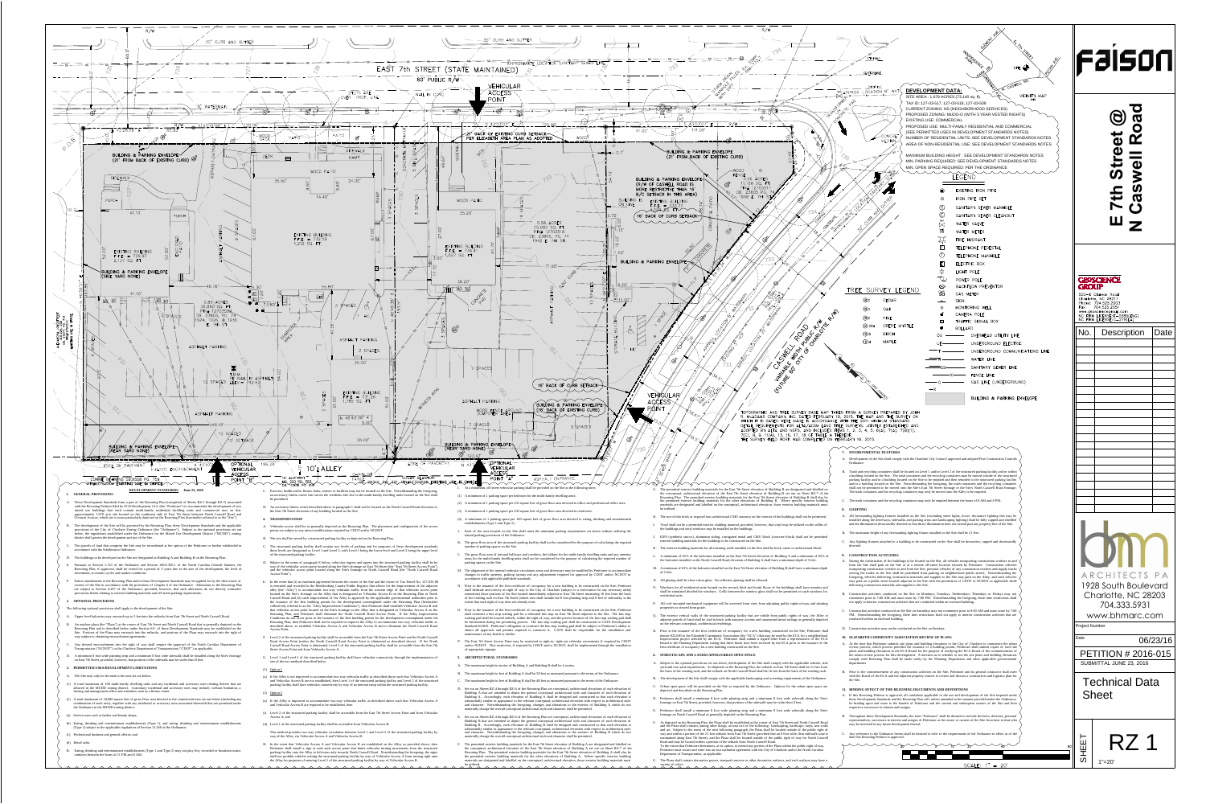